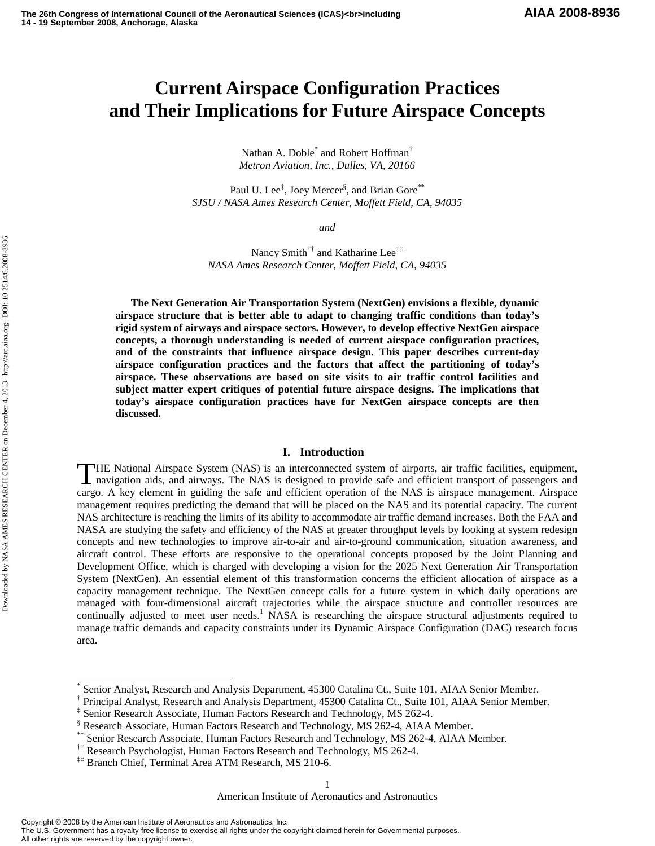# **Current Airspace Configuration Practices and Their Implications for Future Airspace Concepts**

Nathan A. Doble<sup>\*</sup> and Robert Hoffman<sup>†</sup> *Metron Aviation, Inc., Dulles, VA, 20166*

Paul U. Lee<sup>‡</sup>, Joey Mercer<sup>§</sup>, and Brian Gore<sup>\*\*</sup> *SJSU / NASA Ames Research Center, Moffett Field, CA, 94035*

*and*

Nancy Smith<sup>††</sup> and Katharine Lee<sup>‡‡</sup> *NASA Ames Research Center, Moffett Field, CA, 94035*

**The Next Generation Air Transportation System (NextGen) envisions a flexible, dynamic airspace structure that is better able to adapt to changing traffic conditions than today's rigid system of airways and airspace sectors. However, to develop effective NextGen airspace concepts, a thorough understanding is needed of current airspace configuration practices, and of the constraints that influence airspace design. This paper describes current-day airspace configuration practices and the factors that affect the partitioning of today's airspace. These observations are based on site visits to air traffic control facilities and subject matter expert critiques of potential future airspace designs. The implications that today's airspace configuration practices have for NextGen airspace concepts are then discussed.**

## **I. Introduction**

THE National Airspace System (NAS) is an interconnected system of airports, air traffic facilities, equipment, navigation aids, and airways. The NAS is designed to provide safe and efficient transport of passengers and navigation aids, and airways. The NAS is designed to provide safe and efficient transport of passengers and cargo. A key element in guiding the safe and efficient operation of the NAS is airspace management. Airspace management requires predicting the demand that will be placed on the NAS and its potential capacity. The current NAS architecture is reaching the limits of its ability to accommodate air traffic demand increases. Both the FAA and NASA are studying the safety and efficiency of the NAS at greater throughput levels by looking at system redesign concepts and new technologies to improve air-to-air and air-to-ground communication, situation awareness, and aircraft control. These efforts are responsive to the operational concepts proposed by the Joint Planning and Development Office, which is charged with developing a vision for the 2025 Next Generation Air Transportation System (NextGen). An essential element of this transformation concerns the efficient allocation of airspace as a capacity management technique. The NextGen concept calls for a future system in which daily operations are managed with four-dimensional aircraft trajectories while the airspace structure and controller resources are continually adjusted to meet user needs.<sup>1</sup> NASA is researching the airspace structural adjustments required to manage traffic demands and capacity constraints under its Dynamic Airspace Configuration (DAC) research focus area.

American Institute of Aeronautics and Astronautics

Senior Analyst, Research and Analysis Department, 45300 Catalina Ct., Suite 101, AIAA Senior Member.

<sup>†</sup> Principal Analyst, Research and Analysis Department, 45300 Catalina Ct., Suite 101, AIAA Senior Member.

<sup>‡</sup> Senior Research Associate, Human Factors Research and Technology, MS 262-4.

<sup>§</sup> Research Associate, Human Factors Research and Technology, MS 262-4, AIAA Member.

Senior Research Associate, Human Factors Research and Technology, MS 262-4, AIAA Member.

<sup>&</sup>lt;sup>††</sup> Research Psychologist, Human Factors Research and Technology, MS 262-4.

<sup>‡‡</sup> Branch Chief, Terminal Area ATM Research, MS 210-6.

Copyright © 2008 by the American Institute of Aeronautics and Astronautics, Inc.

The U.S. Government has a royalty-free license to exercise all rights under the copyright claimed herein for Governmental purposes. All other rights are reserved by the copyright owner.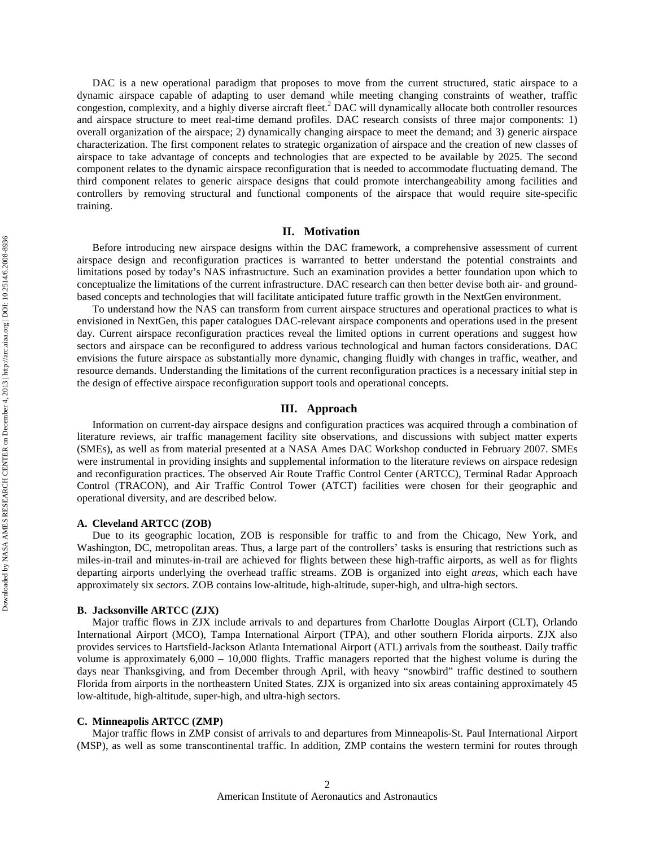DAC is a new operational paradigm that proposes to move from the current structured, static airspace to a dynamic airspace capable of adapting to user demand while meeting changing constraints of weather, traffic congestion, complexity, and a highly diverse aircraft fleet.<sup>2</sup> DAC will dynamically allocate both controller resources and airspace structure to meet real-time demand profiles. DAC research consists of three major components: 1) overall organization of the airspace; 2) dynamically changing airspace to meet the demand; and 3) generic airspace characterization. The first component relates to strategic organization of airspace and the creation of new classes of airspace to take advantage of concepts and technologies that are expected to be available by 2025. The second component relates to the dynamic airspace reconfiguration that is needed to accommodate fluctuating demand. The third component relates to generic airspace designs that could promote interchangeability among facilities and controllers by removing structural and functional components of the airspace that would require site-specific training.

## **II. Motivation**

Before introducing new airspace designs within the DAC framework, a comprehensive assessment of current airspace design and reconfiguration practices is warranted to better understand the potential constraints and limitations posed by today's NAS infrastructure. Such an examination provides a better foundation upon which to conceptualize the limitations of the current infrastructure. DAC research can then better devise both air- and groundbased concepts and technologies that will facilitate anticipated future traffic growth in the NextGen environment.

To understand how the NAS can transform from current airspace structures and operational practices to what is envisioned in NextGen, this paper catalogues DAC-relevant airspace components and operations used in the present day. Current airspace reconfiguration practices reveal the limited options in current operations and suggest how sectors and airspace can be reconfigured to address various technological and human factors considerations. DAC envisions the future airspace as substantially more dynamic, changing fluidly with changes in traffic, weather, and resource demands. Understanding the limitations of the current reconfiguration practices is a necessary initial step in the design of effective airspace reconfiguration support tools and operational concepts.

## **III. Approach**

Information on current-day airspace designs and configuration practices was acquired through a combination of literature reviews, air traffic management facility site observations, and discussions with subject matter experts (SMEs), as well as from material presented at a NASA Ames DAC Workshop conducted in February 2007. SMEs were instrumental in providing insights and supplemental information to the literature reviews on airspace redesign and reconfiguration practices. The observed Air Route Traffic Control Center (ARTCC), Terminal Radar Approach Control (TRACON), and Air Traffic Control Tower (ATCT) facilities were chosen for their geographic and operational diversity, and are described below.

#### **A. Cleveland ARTCC (ZOB)**

Due to its geographic location, ZOB is responsible for traffic to and from the Chicago, New York, and Washington, DC, metropolitan areas. Thus, a large part of the controllers' tasks is ensuring that restrictions such as miles-in-trail and minutes-in-trail are achieved for flights between these high-traffic airports, as well as for flights departing airports underlying the overhead traffic streams. ZOB is organized into eight *areas*, which each have approximately six *sectors*. ZOB contains low-altitude, high-altitude, super-high, and ultra-high sectors.

## **B. Jacksonville ARTCC (ZJX)**

Major traffic flows in ZJX include arrivals to and departures from Charlotte Douglas Airport (CLT), Orlando International Airport (MCO), Tampa International Airport (TPA), and other southern Florida airports. ZJX also provides services to Hartsfield-Jackson Atlanta International Airport (ATL) arrivals from the southeast. Daily traffic volume is approximately 6,000 – 10,000 flights. Traffic managers reported that the highest volume is during the days near Thanksgiving, and from December through April, with heavy "snowbird" traffic destined to southern Florida from airports in the northeastern United States. ZJX is organized into six areas containing approximately 45 low-altitude, high-altitude, super-high, and ultra-high sectors.

## **C. Minneapolis ARTCC (ZMP)**

Major traffic flows in ZMP consist of arrivals to and departures from Minneapolis-St. Paul International Airport (MSP), as well as some transcontinental traffic. In addition, ZMP contains the western termini for routes through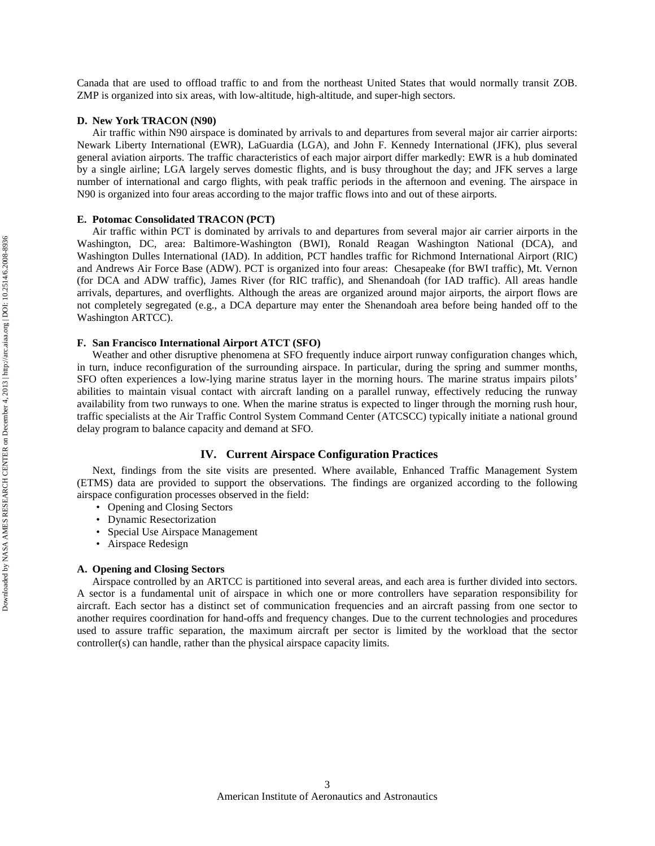Canada that are used to offload traffic to and from the northeast United States that would normally transit ZOB. ZMP is organized into six areas, with low-altitude, high-altitude, and super-high sectors.

#### **D. New York TRACON (N90)**

Air traffic within N90 airspace is dominated by arrivals to and departures from several major air carrier airports: Newark Liberty International (EWR), LaGuardia (LGA), and John F. Kennedy International (JFK), plus several general aviation airports. The traffic characteristics of each major airport differ markedly: EWR is a hub dominated by a single airline; LGA largely serves domestic flights, and is busy throughout the day; and JFK serves a large number of international and cargo flights, with peak traffic periods in the afternoon and evening. The airspace in N90 is organized into four areas according to the major traffic flows into and out of these airports.

#### **E. Potomac Consolidated TRACON (PCT)**

Air traffic within PCT is dominated by arrivals to and departures from several major air carrier airports in the Washington, DC, area: Baltimore-Washington (BWI), Ronald Reagan Washington National (DCA), and Washington Dulles International (IAD). In addition, PCT handles traffic for Richmond International Airport (RIC) and Andrews Air Force Base (ADW). PCT is organized into four areas: Chesapeake (for BWI traffic), Mt. Vernon (for DCA and ADW traffic), James River (for RIC traffic), and Shenandoah (for IAD traffic). All areas handle arrivals, departures, and overflights. Although the areas are organized around major airports, the airport flows are not completely segregated (e.g., a DCA departure may enter the Shenandoah area before being handed off to the Washington ARTCC).

#### **F. San Francisco International Airport ATCT (SFO)**

Weather and other disruptive phenomena at SFO frequently induce airport runway configuration changes which, in turn, induce reconfiguration of the surrounding airspace. In particular, during the spring and summer months, SFO often experiences a low-lying marine stratus layer in the morning hours. The marine stratus impairs pilots' abilities to maintain visual contact with aircraft landing on a parallel runway, effectively reducing the runway availability from two runways to one. When the marine stratus is expected to linger through the morning rush hour, traffic specialists at the Air Traffic Control System Command Center (ATCSCC) typically initiate a national ground delay program to balance capacity and demand at SFO.

## **IV. Current Airspace Configuration Practices**

Next, findings from the site visits are presented. Where available, Enhanced Traffic Management System (ETMS) data are provided to support the observations. The findings are organized according to the following airspace configuration processes observed in the field:

- Opening and Closing Sectors
- Dynamic Resectorization
- Special Use Airspace Management
- Airspace Redesign

## **A. Opening and Closing Sectors**

Airspace controlled by an ARTCC is partitioned into several areas, and each area is further divided into sectors. A sector is a fundamental unit of airspace in which one or more controllers have separation responsibility for aircraft. Each sector has a distinct set of communication frequencies and an aircraft passing from one sector to another requires coordination for hand-offs and frequency changes. Due to the current technologies and procedures used to assure traffic separation, the maximum aircraft per sector is limited by the workload that the sector controller(s) can handle, rather than the physical airspace capacity limits.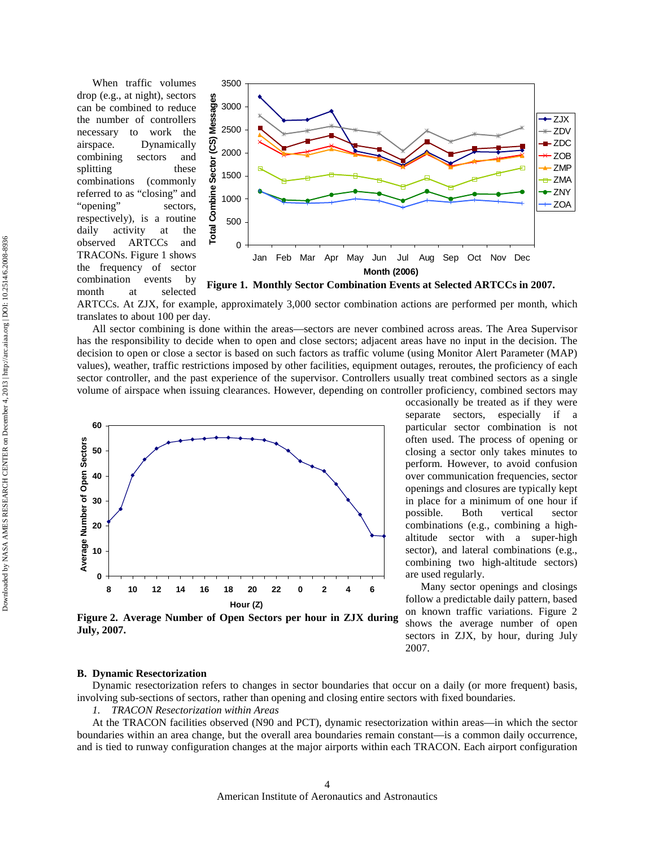When traffic volumes drop (e.g., at night), sectors can be combined to reduce the number of controllers necessary to work the airspace. Dynamically combining sectors and splitting these combinations (commonly referred to as "closing" and "opening" sectors, respectively), is a routine daily activity at the observed ARTCCs and TRACONs. Figure 1 shows the frequency of sector combination events by month at selected



**Figure 1. Monthly Sector Combination Events at Selected ARTCCs in 2007.** 

ARTCCs. At ZJX, for example, approximately 3,000 sector combination actions are performed per month, which translates to about 100 per day.

All sector combining is done within the areas—sectors are never combined across areas. The Area Supervisor has the responsibility to decide when to open and close sectors; adjacent areas have no input in the decision. The decision to open or close a sector is based on such factors as traffic volume (using Monitor Alert Parameter (MAP) values), weather, traffic restrictions imposed by other facilities, equipment outages, reroutes, the proficiency of each sector controller, and the past experience of the supervisor. Controllers usually treat combined sectors as a single volume of airspace when issuing clearances. However, depending on controller proficiency, combined sectors may



**Figure 2. Average Number of Open Sectors per hour in ZJX during July, 2007.**

occasionally be treated as if they were separate sectors, especially if a particular sector combination is not often used. The process of opening or closing a sector only takes minutes to perform. However, to avoid confusion over communication frequencies, sector openings and closures are typically kept in place for a minimum of one hour if possible. Both vertical sector combinations (e.g., combining a highaltitude sector with a super-high sector), and lateral combinations (e.g., combining two high-altitude sectors) are used regularly.

Many sector openings and closings follow a predictable daily pattern, based on known traffic variations. Figure 2 shows the average number of open sectors in ZJX, by hour, during July 2007.

#### **B. Dynamic Resectorization**

Dynamic resectorization refers to changes in sector boundaries that occur on a daily (or more frequent) basis, involving sub-sections of sectors, rather than opening and closing entire sectors with fixed boundaries.

## *1. TRACON Resectorization within Areas*

At the TRACON facilities observed (N90 and PCT), dynamic resectorization within areas—in which the sector boundaries within an area change, but the overall area boundaries remain constant—is a common daily occurrence, and is tied to runway configuration changes at the major airports within each TRACON. Each airport configuration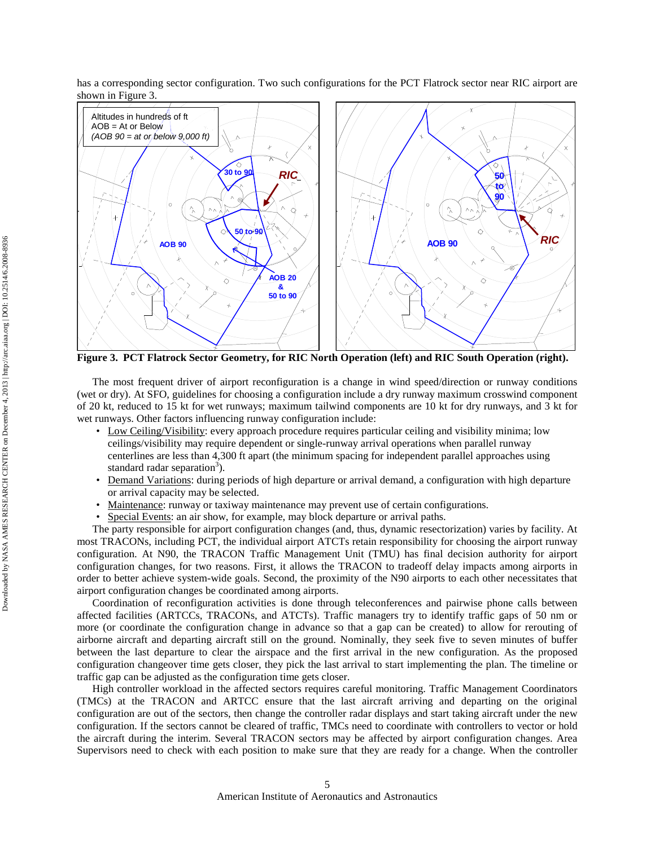has a corresponding sector configuration. Two such configurations for the PCT Flatrock sector near RIC airport are shown in Figure 3.



**Figure 3. PCT Flatrock Sector Geometry, for RIC North Operation (left) and RIC South Operation (right).**

The most frequent driver of airport reconfiguration is a change in wind speed/direction or runway conditions (wet or dry). At SFO, guidelines for choosing a configuration include a dry runway maximum crosswind component of 20 kt, reduced to 15 kt for wet runways; maximum tailwind components are 10 kt for dry runways, and 3 kt for wet runways. Other factors influencing runway configuration include:

- Low Ceiling/Visibility: every approach procedure requires particular ceiling and visibility minima; low ceilings/visibility may require dependent or single-runway arrival operations when parallel runway centerlines are less than 4,300 ft apart (the minimum spacing for independent parallel approaches using standard radar separation<sup>3</sup>).
- Demand Variations: during periods of high departure or arrival demand, a configuration with high departure or arrival capacity may be selected.
- Maintenance: runway or taxiway maintenance may prevent use of certain configurations.
- Special Events: an air show, for example, may block departure or arrival paths.

The party responsible for airport configuration changes (and, thus, dynamic resectorization) varies by facility. At most TRACONs, including PCT, the individual airport ATCTs retain responsibility for choosing the airport runway configuration. At N90, the TRACON Traffic Management Unit (TMU) has final decision authority for airport configuration changes, for two reasons. First, it allows the TRACON to tradeoff delay impacts among airports in order to better achieve system-wide goals. Second, the proximity of the N90 airports to each other necessitates that airport configuration changes be coordinated among airports.

Coordination of reconfiguration activities is done through teleconferences and pairwise phone calls between affected facilities (ARTCCs, TRACONs, and ATCTs). Traffic managers try to identify traffic gaps of 50 nm or more (or coordinate the configuration change in advance so that a gap can be created) to allow for rerouting of airborne aircraft and departing aircraft still on the ground. Nominally, they seek five to seven minutes of buffer between the last departure to clear the airspace and the first arrival in the new configuration. As the proposed configuration changeover time gets closer, they pick the last arrival to start implementing the plan. The timeline or traffic gap can be adjusted as the configuration time gets closer.

High controller workload in the affected sectors requires careful monitoring. Traffic Management Coordinators (TMCs) at the TRACON and ARTCC ensure that the last aircraft arriving and departing on the original configuration are out of the sectors, then change the controller radar displays and start taking aircraft under the new configuration. If the sectors cannot be cleared of traffic, TMCs need to coordinate with controllers to vector or hold the aircraft during the interim. Several TRACON sectors may be affected by airport configuration changes. Area Supervisors need to check with each position to make sure that they are ready for a change. When the controller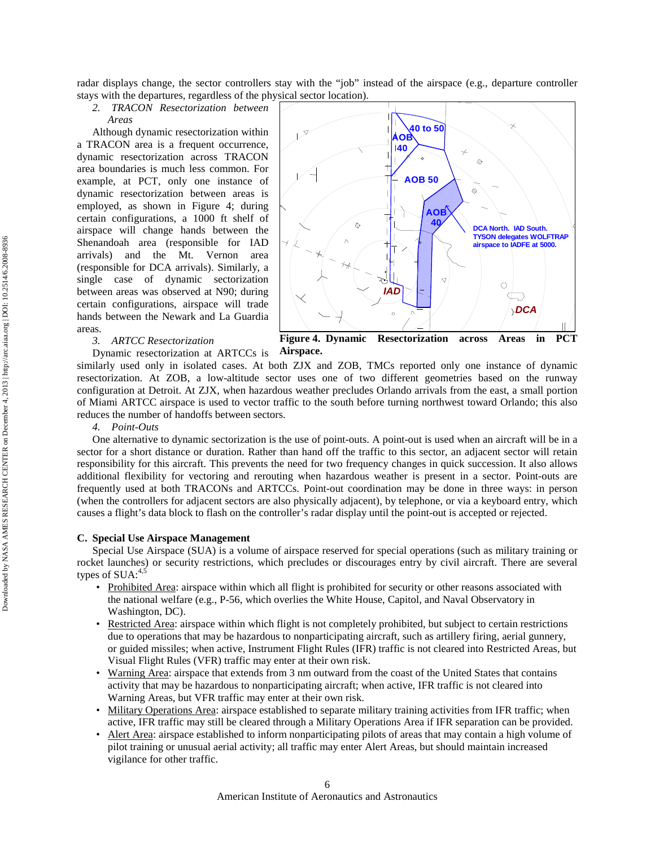radar displays change, the sector controllers stay with the "job" instead of the airspace (e.g., departure controller stays with the departures, regardless of the physical sector location).

## *2. TRACON Resectorization between Areas*

Although dynamic resectorization within a TRACON area is a frequent occurrence, dynamic resectorization across TRACON area boundaries is much less common. For example, at PCT, only one instance of dynamic resectorization between areas is employed, as shown in Figure 4; during certain configurations, a 1000 ft shelf of airspace will change hands between the Shenandoah area (responsible for IAD arrivals) and the Mt. Vernon area (responsible for DCA arrivals). Similarly, a single case of dynamic sectorization between areas was observed at N90; during certain configurations, airspace will trade hands between the Newark and La Guardia areas.



## *3. ARTCC Resectorization*

#### Dynamic resectorization at ARTCCs is **Airspace.**

similarly used only in isolated cases. At both ZJX and ZOB, TMCs reported only one instance of dynamic resectorization. At ZOB, a low-altitude sector uses one of two different geometries based on the runway configuration at Detroit. At ZJX, when hazardous weather precludes Orlando arrivals from the east, a small portion of Miami ARTCC airspace is used to vector traffic to the south before turning northwest toward Orlando; this also reduces the number of handoffs between sectors.

## *4. Point-Outs*

One alternative to dynamic sectorization is the use of point-outs. A point-out is used when an aircraft will be in a sector for a short distance or duration. Rather than hand off the traffic to this sector, an adjacent sector will retain responsibility for this aircraft. This prevents the need for two frequency changes in quick succession. It also allows additional flexibility for vectoring and rerouting when hazardous weather is present in a sector. Point-outs are frequently used at both TRACONs and ARTCCs. Point-out coordination may be done in three ways: in person (when the controllers for adjacent sectors are also physically adjacent), by telephone, or via a keyboard entry, which causes a flight's data block to flash on the controller's radar display until the point-out is accepted or rejected.

## **C. Special Use Airspace Management**

Special Use Airspace (SUA) is a volume of airspace reserved for special operations (such as military training or rocket launches) or security restrictions, which precludes or discourages entry by civil aircraft. There are several types of  $SUA$ :<sup>4,5</sup>

- Prohibited Area: airspace within which all flight is prohibited for security or other reasons associated with the national welfare (e.g., P-56, which overlies the White House, Capitol, and Naval Observatory in Washington, DC).
- Restricted Area: airspace within which flight is not completely prohibited, but subject to certain restrictions due to operations that may be hazardous to nonparticipating aircraft, such as artillery firing, aerial gunnery, or guided missiles; when active, Instrument Flight Rules (IFR) traffic is not cleared into Restricted Areas, but Visual Flight Rules (VFR) traffic may enter at their own risk.
- Warning Area: airspace that extends from 3 nm outward from the coast of the United States that contains activity that may be hazardous to nonparticipating aircraft; when active, IFR traffic is not cleared into Warning Areas, but VFR traffic may enter at their own risk.
- Military Operations Area: airspace established to separate military training activities from IFR traffic; when active, IFR traffic may still be cleared through a Military Operations Area if IFR separation can be provided.
- Alert Area: airspace established to inform nonparticipating pilots of areas that may contain a high volume of pilot training or unusual aerial activity; all traffic may enter Alert Areas, but should maintain increased vigilance for other traffic.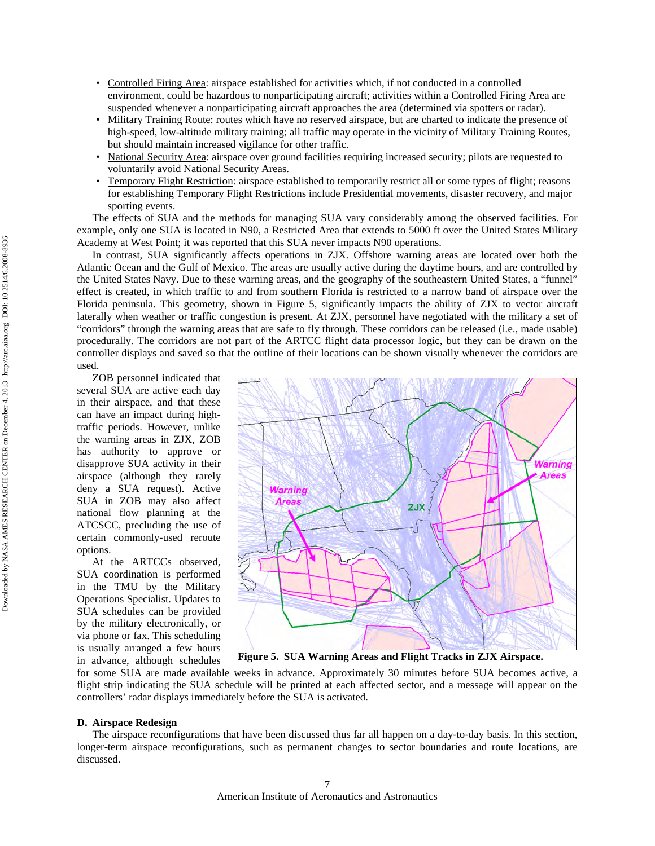- Controlled Firing Area: airspace established for activities which, if not conducted in a controlled environment, could be hazardous to nonparticipating aircraft; activities within a Controlled Firing Area are suspended whenever a nonparticipating aircraft approaches the area (determined via spotters or radar).
- Military Training Route: routes which have no reserved airspace, but are charted to indicate the presence of high-speed, low-altitude military training; all traffic may operate in the vicinity of Military Training Routes, but should maintain increased vigilance for other traffic.
- National Security Area: airspace over ground facilities requiring increased security; pilots are requested to voluntarily avoid National Security Areas.
- Temporary Flight Restriction: airspace established to temporarily restrict all or some types of flight; reasons for establishing Temporary Flight Restrictions include Presidential movements, disaster recovery, and major sporting events.

The effects of SUA and the methods for managing SUA vary considerably among the observed facilities. For example, only one SUA is located in N90, a Restricted Area that extends to 5000 ft over the United States Military Academy at West Point; it was reported that this SUA never impacts N90 operations.

In contrast, SUA significantly affects operations in ZJX. Offshore warning areas are located over both the Atlantic Ocean and the Gulf of Mexico. The areas are usually active during the daytime hours, and are controlled by the United States Navy. Due to these warning areas, and the geography of the southeastern United States, a "funnel" effect is created, in which traffic to and from southern Florida is restricted to a narrow band of airspace over the Florida peninsula. This geometry, shown in Figure 5, significantly impacts the ability of ZJX to vector aircraft laterally when weather or traffic congestion is present. At ZJX, personnel have negotiated with the military a set of "corridors" through the warning areas that are safe to fly through. These corridors can be released (i.e., made usable) procedurally. The corridors are not part of the ARTCC flight data processor logic, but they can be drawn on the controller displays and saved so that the outline of their locations can be shown visually whenever the corridors are used.

ZOB personnel indicated that several SUA are active each day in their airspace, and that these can have an impact during hightraffic periods. However, unlike the warning areas in ZJX, ZOB has authority to approve or disapprove SUA activity in their airspace (although they rarely deny a SUA request). Active SUA in ZOB may also affect national flow planning at the ATCSCC, precluding the use of certain commonly-used reroute options.

At the ARTCCs observed, SUA coordination is performed in the TMU by the Military Operations Specialist. Updates to SUA schedules can be provided by the military electronically, or via phone or fax. This scheduling is usually arranged a few hours in advance, although schedules



**Figure 5. SUA Warning Areas and Flight Tracks in ZJX Airspace.**

for some SUA are made available weeks in advance. Approximately 30 minutes before SUA becomes active, a flight strip indicating the SUA schedule will be printed at each affected sector, and a message will appear on the controllers' radar displays immediately before the SUA is activated.

## **D. Airspace Redesign**

The airspace reconfigurations that have been discussed thus far all happen on a day-to-day basis. In this section, longer-term airspace reconfigurations, such as permanent changes to sector boundaries and route locations, are discussed.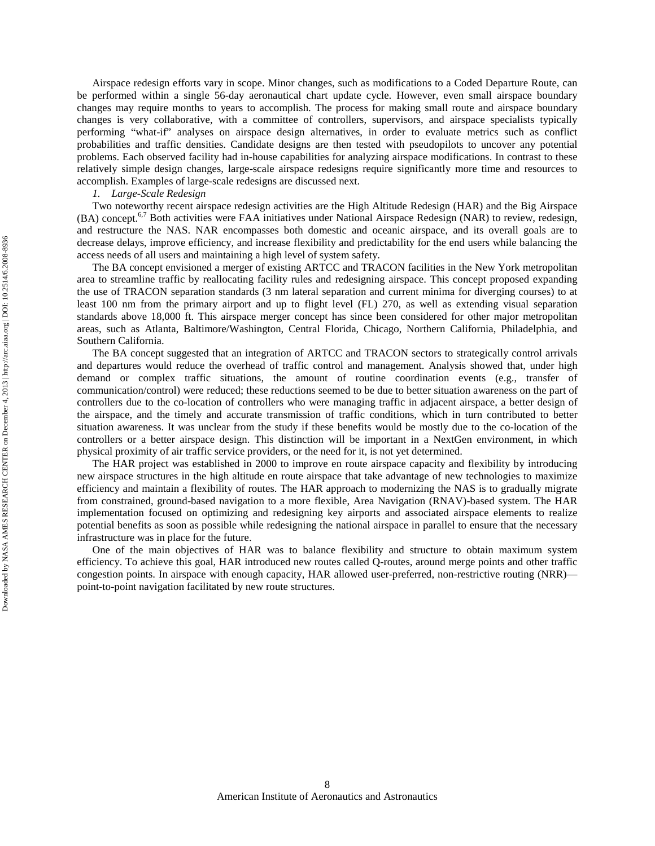Airspace redesign efforts vary in scope. Minor changes, such as modifications to a Coded Departure Route, can be performed within a single 56-day aeronautical chart update cycle. However, even small airspace boundary changes may require months to years to accomplish. The process for making small route and airspace boundary changes is very collaborative, with a committee of controllers, supervisors, and airspace specialists typically performing "what-if" analyses on airspace design alternatives, in order to evaluate metrics such as conflict probabilities and traffic densities. Candidate designs are then tested with pseudopilots to uncover any potential problems. Each observed facility had in-house capabilities for analyzing airspace modifications. In contrast to these relatively simple design changes, large-scale airspace redesigns require significantly more time and resources to accomplish. Examples of large-scale redesigns are discussed next.

*1. Large-Scale Redesign*

Two noteworthy recent airspace redesign activities are the High Altitude Redesign (HAR) and the Big Airspace (BA) concept.<sup>6,7</sup> Both activities were FAA initiatives under National Airspace Redesign (NAR) to review, redesign, and restructure the NAS. NAR encompasses both domestic and oceanic airspace, and its overall goals are to decrease delays, improve efficiency, and increase flexibility and predictability for the end users while balancing the access needs of all users and maintaining a high level of system safety.

The BA concept envisioned a merger of existing ARTCC and TRACON facilities in the New York metropolitan area to streamline traffic by reallocating facility rules and redesigning airspace. This concept proposed expanding the use of TRACON separation standards (3 nm lateral separation and current minima for diverging courses) to at least 100 nm from the primary airport and up to flight level (FL) 270, as well as extending visual separation standards above 18,000 ft. This airspace merger concept has since been considered for other major metropolitan areas, such as Atlanta, Baltimore/Washington, Central Florida, Chicago, Northern California, Philadelphia, and Southern California.

The BA concept suggested that an integration of ARTCC and TRACON sectors to strategically control arrivals and departures would reduce the overhead of traffic control and management. Analysis showed that, under high demand or complex traffic situations, the amount of routine coordination events (e.g., transfer of communication/control) were reduced; these reductions seemed to be due to better situation awareness on the part of controllers due to the co-location of controllers who were managing traffic in adjacent airspace, a better design of the airspace, and the timely and accurate transmission of traffic conditions, which in turn contributed to better situation awareness. It was unclear from the study if these benefits would be mostly due to the co-location of the controllers or a better airspace design. This distinction will be important in a NextGen environment, in which physical proximity of air traffic service providers, or the need for it, is not yet determined.

The HAR project was established in 2000 to improve en route airspace capacity and flexibility by introducing new airspace structures in the high altitude en route airspace that take advantage of new technologies to maximize efficiency and maintain a flexibility of routes. The HAR approach to modernizing the NAS is to gradually migrate from constrained, ground-based navigation to a more flexible, Area Navigation (RNAV)-based system. The HAR implementation focused on optimizing and redesigning key airports and associated airspace elements to realize potential benefits as soon as possible while redesigning the national airspace in parallel to ensure that the necessary infrastructure was in place for the future.

One of the main objectives of HAR was to balance flexibility and structure to obtain maximum system efficiency. To achieve this goal, HAR introduced new routes called Q-routes, around merge points and other traffic congestion points. In airspace with enough capacity, HAR allowed user-preferred, non-restrictive routing (NRR) point-to-point navigation facilitated by new route structures.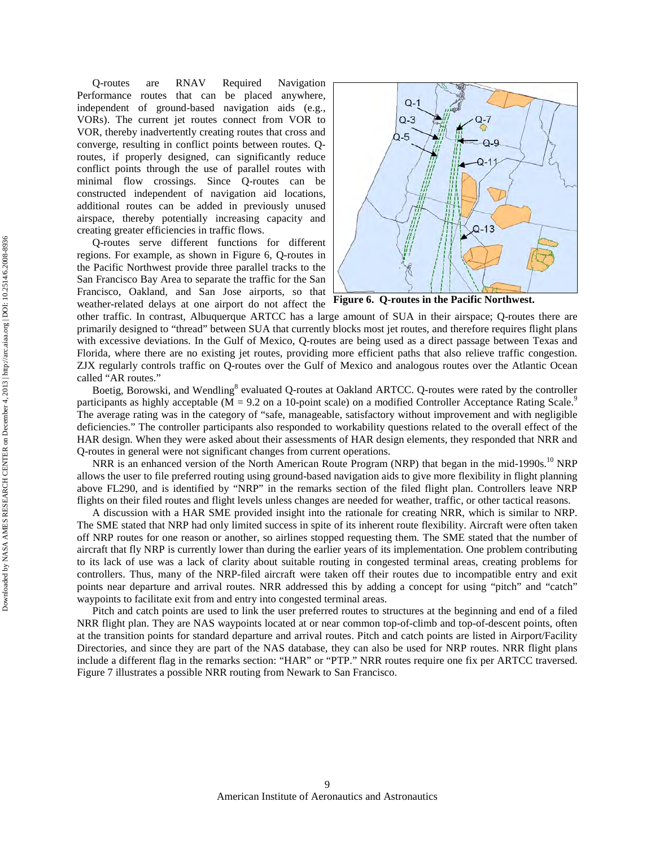Q-routes are RNAV Required Navigation Performance routes that can be placed anywhere, independent of ground-based navigation aids (e.g., VORs). The current jet routes connect from VOR to VOR, thereby inadvertently creating routes that cross and converge, resulting in conflict points between routes. Qroutes, if properly designed, can significantly reduce conflict points through the use of parallel routes with minimal flow crossings. Since Q-routes can be constructed independent of navigation aid locations, additional routes can be added in previously unused airspace, thereby potentially increasing capacity and creating greater efficiencies in traffic flows.

Q-routes serve different functions for different regions. For example, as shown in Figure 6, Q-routes in the Pacific Northwest provide three parallel tracks to the San Francisco Bay Area to separate the traffic for the San Francisco, Oakland, and San Jose airports, so that weather-related delays at one airport do not affect the



**Figure 6. Q-routes in the Pacific Northwest.**

other traffic. In contrast, Albuquerque ARTCC has a large amount of SUA in their airspace; Q-routes there are primarily designed to "thread" between SUA that currently blocks most jet routes, and therefore requires flight plans with excessive deviations. In the Gulf of Mexico, Q-routes are being used as a direct passage between Texas and Florida, where there are no existing jet routes, providing more efficient paths that also relieve traffic congestion. ZJX regularly controls traffic on Q-routes over the Gulf of Mexico and analogous routes over the Atlantic Ocean called "AR routes."

Boetig, Borowski, and Wendling<sup>8</sup> evaluated Q-routes at Oakland ARTCC. Q-routes were rated by the controller participants as highly acceptable ( $M = 9.2$  on a 10-point scale) on a modified Controller Acceptance Rating Scale.<sup>5</sup> The average rating was in the category of "safe, manageable, satisfactory without improvement and with negligible deficiencies." The controller participants also responded to workability questions related to the overall effect of the HAR design. When they were asked about their assessments of HAR design elements, they responded that NRR and Q-routes in general were not significant changes from current operations.

NRR is an enhanced version of the North American Route Program (NRP) that began in the mid-1990s.<sup>10</sup> NRP allows the user to file preferred routing using ground-based navigation aids to give more flexibility in flight planning above FL290, and is identified by "NRP" in the remarks section of the filed flight plan. Controllers leave NRP flights on their filed routes and flight levels unless changes are needed for weather, traffic, or other tactical reasons.

A discussion with a HAR SME provided insight into the rationale for creating NRR, which is similar to NRP. The SME stated that NRP had only limited success in spite of its inherent route flexibility. Aircraft were often taken off NRP routes for one reason or another, so airlines stopped requesting them. The SME stated that the number of aircraft that fly NRP is currently lower than during the earlier years of its implementation. One problem contributing to its lack of use was a lack of clarity about suitable routing in congested terminal areas, creating problems for controllers. Thus, many of the NRP-filed aircraft were taken off their routes due to incompatible entry and exit points near departure and arrival routes. NRR addressed this by adding a concept for using "pitch" and "catch" waypoints to facilitate exit from and entry into congested terminal areas.

Pitch and catch points are used to link the user preferred routes to structures at the beginning and end of a filed NRR flight plan. They are NAS waypoints located at or near common top-of-climb and top-of-descent points, often at the transition points for standard departure and arrival routes. Pitch and catch points are listed in Airport/Facility Directories, and since they are part of the NAS database, they can also be used for NRP routes. NRR flight plans include a different flag in the remarks section: "HAR" or "PTP." NRR routes require one fix per ARTCC traversed. Figure 7 illustrates a possible NRR routing from Newark to San Francisco.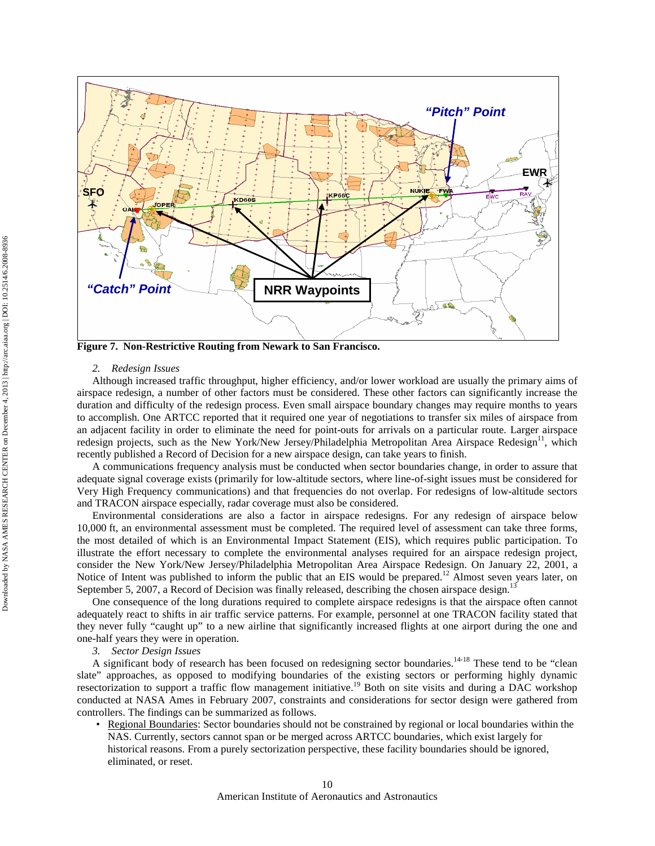

**Figure 7. Non-Restrictive Routing from Newark to San Francisco.** 

## *2. Redesign Issues*

Although increased traffic throughput, higher efficiency, and/or lower workload are usually the primary aims of airspace redesign, a number of other factors must be considered. These other factors can significantly increase the duration and difficulty of the redesign process. Even small airspace boundary changes may require months to years to accomplish. One ARTCC reported that it required one year of negotiations to transfer six miles of airspace from an adjacent facility in order to eliminate the need for point-outs for arrivals on a particular route. Larger airspace redesign projects, such as the New York/New Jersey/Philadelphia Metropolitan Area Airspace Redesign<sup>11</sup>, which recently published a Record of Decision for a new airspace design, can take years to finish.

A communications frequency analysis must be conducted when sector boundaries change, in order to assure that adequate signal coverage exists (primarily for low-altitude sectors, where line-of-sight issues must be considered for Very High Frequency communications) and that frequencies do not overlap. For redesigns of low-altitude sectors and TRACON airspace especially, radar coverage must also be considered.

Environmental considerations are also a factor in airspace redesigns. For any redesign of airspace below 10,000 ft, an environmental assessment must be completed. The required level of assessment can take three forms, the most detailed of which is an Environmental Impact Statement (EIS), which requires public participation. To illustrate the effort necessary to complete the environmental analyses required for an airspace redesign project, consider the New York/New Jersey/Philadelphia Metropolitan Area Airspace Redesign. On January 22, 2001, a Notice of Intent was published to inform the public that an EIS would be prepared.<sup>12</sup> Almost seven years later, on September 5, 2007, a Record of Decision was finally released, describing the chosen airspace design.<sup>13</sup>

One consequence of the long durations required to complete airspace redesigns is that the airspace often cannot adequately react to shifts in air traffic service patterns. For example, personnel at one TRACON facility stated that they never fully "caught up" to a new airline that significantly increased flights at one airport during the one and one-half years they were in operation.

## *3. Sector Design Issues*

A significant body of research has been focused on redesigning sector boundaries.<sup>14-18</sup> These tend to be "clean slate" approaches, as opposed to modifying boundaries of the existing sectors or performing highly dynamic resectorization to support a traffic flow management initiative.<sup>19</sup> Both on site visits and during a DAC workshop conducted at NASA Ames in February 2007, constraints and considerations for sector design were gathered from controllers. The findings can be summarized as follows.

• Regional Boundaries: Sector boundaries should not be constrained by regional or local boundaries within the NAS. Currently, sectors cannot span or be merged across ARTCC boundaries, which exist largely for historical reasons. From a purely sectorization perspective, these facility boundaries should be ignored, eliminated, or reset.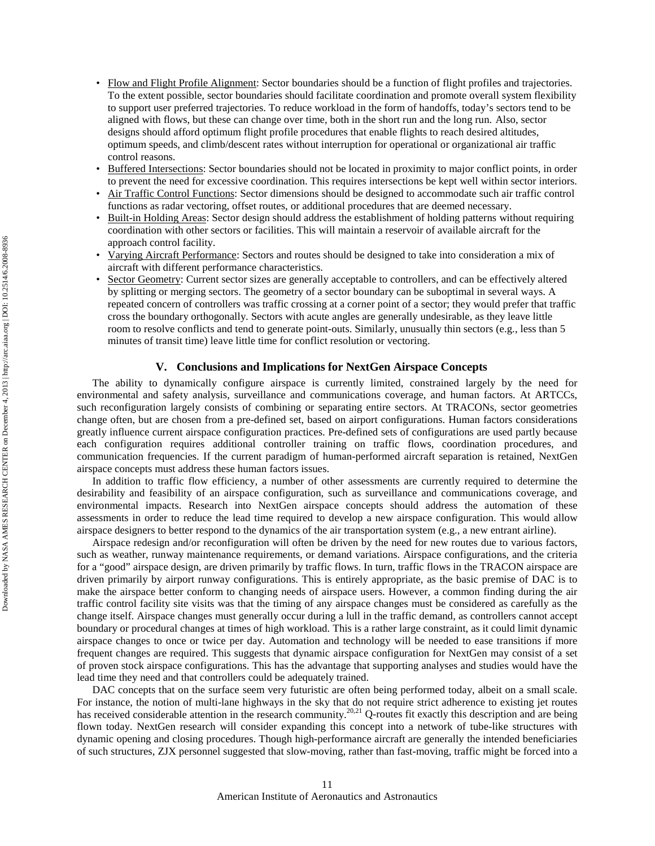- Flow and Flight Profile Alignment: Sector boundaries should be a function of flight profiles and trajectories. To the extent possible, sector boundaries should facilitate coordination and promote overall system flexibility to support user preferred trajectories. To reduce workload in the form of handoffs, today's sectors tend to be aligned with flows, but these can change over time, both in the short run and the long run. Also, sector designs should afford optimum flight profile procedures that enable flights to reach desired altitudes, optimum speeds, and climb/descent rates without interruption for operational or organizational air traffic control reasons.
- Buffered Intersections: Sector boundaries should not be located in proximity to major conflict points, in order to prevent the need for excessive coordination. This requires intersections be kept well within sector interiors.
- Air Traffic Control Functions: Sector dimensions should be designed to accommodate such air traffic control functions as radar vectoring, offset routes, or additional procedures that are deemed necessary.
- Built-in Holding Areas: Sector design should address the establishment of holding patterns without requiring coordination with other sectors or facilities. This will maintain a reservoir of available aircraft for the approach control facility.
- Varying Aircraft Performance: Sectors and routes should be designed to take into consideration a mix of aircraft with different performance characteristics.
- Sector Geometry: Current sector sizes are generally acceptable to controllers, and can be effectively altered by splitting or merging sectors. The geometry of a sector boundary can be suboptimal in several ways. A repeated concern of controllers was traffic crossing at a corner point of a sector; they would prefer that traffic cross the boundary orthogonally. Sectors with acute angles are generally undesirable, as they leave little room to resolve conflicts and tend to generate point-outs. Similarly, unusually thin sectors (e.g., less than 5 minutes of transit time) leave little time for conflict resolution or vectoring.

## **V. Conclusions and Implications for NextGen Airspace Concepts**

The ability to dynamically configure airspace is currently limited, constrained largely by the need for environmental and safety analysis, surveillance and communications coverage, and human factors. At ARTCCs, such reconfiguration largely consists of combining or separating entire sectors. At TRACONs, sector geometries change often, but are chosen from a pre-defined set, based on airport configurations. Human factors considerations greatly influence current airspace configuration practices. Pre-defined sets of configurations are used partly because each configuration requires additional controller training on traffic flows, coordination procedures, and communication frequencies. If the current paradigm of human-performed aircraft separation is retained, NextGen airspace concepts must address these human factors issues.

In addition to traffic flow efficiency, a number of other assessments are currently required to determine the desirability and feasibility of an airspace configuration, such as surveillance and communications coverage, and environmental impacts. Research into NextGen airspace concepts should address the automation of these assessments in order to reduce the lead time required to develop a new airspace configuration. This would allow airspace designers to better respond to the dynamics of the air transportation system (e.g., a new entrant airline).

Airspace redesign and/or reconfiguration will often be driven by the need for new routes due to various factors, such as weather, runway maintenance requirements, or demand variations. Airspace configurations, and the criteria for a "good" airspace design, are driven primarily by traffic flows. In turn, traffic flows in the TRACON airspace are driven primarily by airport runway configurations. This is entirely appropriate, as the basic premise of DAC is to make the airspace better conform to changing needs of airspace users. However, a common finding during the air traffic control facility site visits was that the timing of any airspace changes must be considered as carefully as the change itself. Airspace changes must generally occur during a lull in the traffic demand, as controllers cannot accept boundary or procedural changes at times of high workload. This is a rather large constraint, as it could limit dynamic airspace changes to once or twice per day. Automation and technology will be needed to ease transitions if more frequent changes are required. This suggests that dynamic airspace configuration for NextGen may consist of a set of proven stock airspace configurations. This has the advantage that supporting analyses and studies would have the lead time they need and that controllers could be adequately trained.

DAC concepts that on the surface seem very futuristic are often being performed today, albeit on a small scale. For instance, the notion of multi-lane highways in the sky that do not require strict adherence to existing jet routes has received considerable attention in the research community.<sup>20,21</sup> Q-routes fit exactly this description and are being flown today. NextGen research will consider expanding this concept into a network of tube-like structures with dynamic opening and closing procedures. Though high-performance aircraft are generally the intended beneficiaries of such structures, ZJX personnel suggested that slow-moving, rather than fast-moving, traffic might be forced into a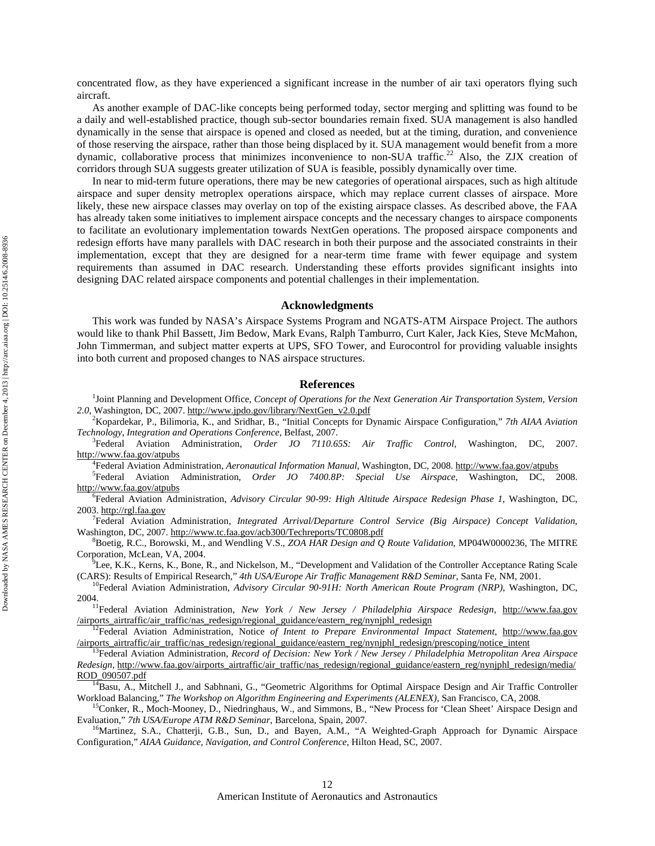concentrated flow, as they have experienced a significant increase in the number of air taxi operators flying such aircraft.

As another example of DAC-like concepts being performed today, sector merging and splitting was found to be a daily and well-established practice, though sub-sector boundaries remain fixed. SUA management is also handled dynamically in the sense that airspace is opened and closed as needed, but at the timing, duration, and convenience of those reserving the airspace, rather than those being displaced by it. SUA management would benefit from a more dynamic, collaborative process that minimizes inconvenience to non-SUA traffic.<sup>22</sup> Also, the ZJX creation of corridors through SUA suggests greater utilization of SUA is feasible, possibly dynamically over time.

In near to mid-term future operations, there may be new categories of operational airspaces, such as high altitude airspace and super density metroplex operations airspace, which may replace current classes of airspace. More likely, these new airspace classes may overlay on top of the existing airspace classes. As described above, the FAA has already taken some initiatives to implement airspace concepts and the necessary changes to airspace components to facilitate an evolutionary implementation towards NextGen operations. The proposed airspace components and redesign efforts have many parallels with DAC research in both their purpose and the associated constraints in their implementation, except that they are designed for a near-term time frame with fewer equipage and system requirements than assumed in DAC research. Understanding these efforts provides significant insights into designing DAC related airspace components and potential challenges in their implementation.

## **Acknowledgments**

This work was funded by NASA's Airspace Systems Program and NGATS-ATM Airspace Project. The authors would like to thank Phil Bassett, Jim Bedow, Mark Evans, Ralph Tamburro, Curt Kaler, Jack Kies, Steve McMahon, John Timmerman, and subject matter experts at UPS, SFO Tower, and Eurocontrol for providing valuable insights into both current and proposed changes to NAS airspace structures.

## **References**

<sup>1</sup>Joint Planning and Development Office, *Concept of Operations for the Next Generation Air Transportation System, Version 2.0*, Washington, DC, 2007. http://www.jpdo.gov/library/NextGen\_v2.0.pdf

2 Kopardekar, P., Bilimoria, K., and Sridhar, B., "Initial Concepts for Dynamic Airspace Configuration," *7th AIAA Aviation Technology, Integration and Operations Conference*, Belfast, 2007. <sup>3</sup>

Federal Aviation Administration, *Order JO 7110.65S: Air Traffic Control*, Washington, DC, 2007. http://www.faa.gov/atpubs

Federal Aviation Administration, *Aeronautical Information Manual*, Washington, DC, 2008. http://www.faa.gov/atpubs <sup>5</sup>

<sup>5</sup>Federal Aviation Administration, Order JO 7400.8P: Special Use Airspace, http://www.faa.gov/atpubs <sup>6</sup>

Federal Aviation Administration, *Advisory Circular 90-99: High Altitude Airspace Redesign Phase 1*, Washington, DC, 2003. http://rgl.faa.gov

Federal Aviation Administration, *Integrated Arrival/Departure Control Service (Big Airspace) Concept Validation*, Washington, DC, 2007. http://www.tc.faa.gov/acb300/Techreports/TC0808.pdf

Boetig, R.C., Borowski, M., and Wendling V.S., *ZOA HAR Design and Q Route Validation*, MP04W0000236, The MITRE Corporation, McLean, VA, 2004.

Lee, K.K., Kerns, K., Bone, R., and Nickelson, M., "Development and Validation of the Controller Acceptance Rating Scale (CARS): Results of Empirical Research," 4th USA/Europe Air Traffic Management R&D Seminar, Santa Fe, NM, 2001.<br><sup>10</sup>Federal Aviation Administration, Advisory Circular 90-91H: North American Route Program (NRP), Washington,

2004. 11Federal Aviation Administration, *New York / New Jersey / Philadelphia Airspace Redesign*, http://www.faa.gov /airports\_airtraffic/air\_traffic/nas\_redesign/regional\_guidance/eastern\_reg/nynjphl\_redesign 12Federal Aviation Administration, Notice *of Intent to Prepare Environmental Impact Statement*, http://www.faa.gov

airports airtraffic/air traffic/nas redesign/regional guidance/eastern reg/nynjphl redesign/prescoping/notice intent/<br><sup>13</sup>Federal Aviation Administration, *Record of Decision: New York / New Jersey / Philadelphia Metropoli* 

*Redesign*, http://www.faa.gov/airports\_airtraffic/air\_traffic/nas\_redesign/regional\_guidance/eastern\_reg/nynjphl\_redesign/media/ ROD\_090507.pdf<br><sup>14</sup>Basu, A., Mitchell J., and Sabhnani, G., "Geometric Algorithms for Optimal Airspace Design and Air Traffic Controller

Workload Balancing," The Workshop on Algorithm Engineering and Experiments (ALENEX), San Francisco, CA, 2008.<br><sup>15</sup>Conker, R., Moch-Mooney, D., Niedringhaus, W., and Simmons, B., "New Process for 'Clean Sheet' Airspace Desi

Evaluation," 7th USA/Europe ATM R&D Seminar, Barcelona, Spain, 2007.<br><sup>16</sup>Martinez, S.A., Chatterji, G.B., Sun, D., and Bayen, A.M., "A Weighted-Graph Approach for Dynamic Airspace

Configuration," *AIAA Guidance, Navigation, and Control Conference*, Hilton Head, SC, 2007.